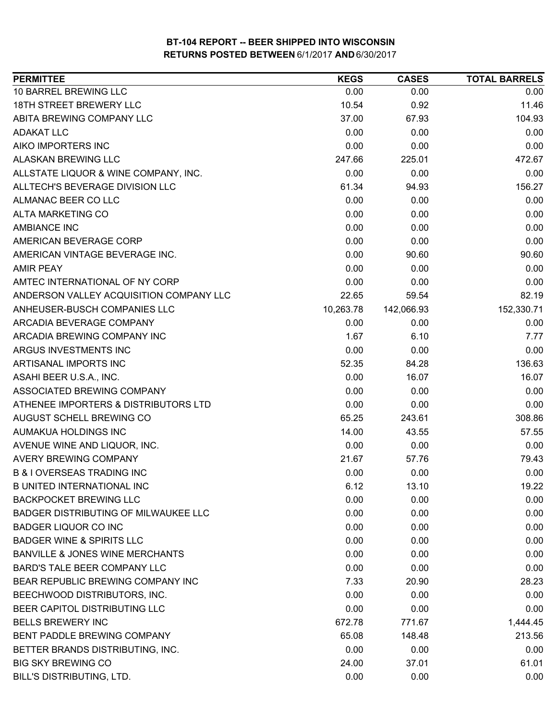| <b>PERMITTEE</b>                            | <b>KEGS</b> | <b>CASES</b> | <b>TOTAL BARRELS</b> |
|---------------------------------------------|-------------|--------------|----------------------|
| 10 BARREL BREWING LLC                       | 0.00        | 0.00         | 0.00                 |
| 18TH STREET BREWERY LLC                     | 10.54       | 0.92         | 11.46                |
| ABITA BREWING COMPANY LLC                   | 37.00       | 67.93        | 104.93               |
| <b>ADAKAT LLC</b>                           | 0.00        | 0.00         | 0.00                 |
| AIKO IMPORTERS INC                          | 0.00        | 0.00         | 0.00                 |
| ALASKAN BREWING LLC                         | 247.66      | 225.01       | 472.67               |
| ALLSTATE LIQUOR & WINE COMPANY, INC.        | 0.00        | 0.00         | 0.00                 |
| ALLTECH'S BEVERAGE DIVISION LLC             | 61.34       | 94.93        | 156.27               |
| ALMANAC BEER CO LLC                         | 0.00        | 0.00         | 0.00                 |
| <b>ALTA MARKETING CO</b>                    | 0.00        | 0.00         | 0.00                 |
| <b>AMBIANCE INC</b>                         | 0.00        | 0.00         | 0.00                 |
| AMERICAN BEVERAGE CORP                      | 0.00        | 0.00         | 0.00                 |
| AMERICAN VINTAGE BEVERAGE INC.              | 0.00        | 90.60        | 90.60                |
| <b>AMIR PEAY</b>                            | 0.00        | 0.00         | 0.00                 |
| AMTEC INTERNATIONAL OF NY CORP              | 0.00        | 0.00         | 0.00                 |
| ANDERSON VALLEY ACQUISITION COMPANY LLC     | 22.65       | 59.54        | 82.19                |
| ANHEUSER-BUSCH COMPANIES LLC                | 10,263.78   | 142,066.93   | 152,330.71           |
| ARCADIA BEVERAGE COMPANY                    | 0.00        | 0.00         | 0.00                 |
| ARCADIA BREWING COMPANY INC                 | 1.67        | 6.10         | 7.77                 |
| ARGUS INVESTMENTS INC                       | 0.00        | 0.00         | 0.00                 |
| ARTISANAL IMPORTS INC                       | 52.35       | 84.28        | 136.63               |
| ASAHI BEER U.S.A., INC.                     | 0.00        | 16.07        | 16.07                |
| ASSOCIATED BREWING COMPANY                  | 0.00        | 0.00         | 0.00                 |
| ATHENEE IMPORTERS & DISTRIBUTORS LTD        | 0.00        | 0.00         | 0.00                 |
| AUGUST SCHELL BREWING CO                    | 65.25       | 243.61       | 308.86               |
| AUMAKUA HOLDINGS INC                        | 14.00       | 43.55        | 57.55                |
| AVENUE WINE AND LIQUOR, INC.                | 0.00        | 0.00         | 0.00                 |
| <b>AVERY BREWING COMPANY</b>                | 21.67       | 57.76        | 79.43                |
| <b>B &amp; I OVERSEAS TRADING INC</b>       | 0.00        | 0.00         | 0.00                 |
| <b>B UNITED INTERNATIONAL INC</b>           | 6.12        | 13.10        | 19.22                |
| <b>BACKPOCKET BREWING LLC</b>               | 0.00        | 0.00         | 0.00                 |
| <b>BADGER DISTRIBUTING OF MILWAUKEE LLC</b> | 0.00        | 0.00         | 0.00                 |
| <b>BADGER LIQUOR CO INC</b>                 | 0.00        | 0.00         | 0.00                 |
| <b>BADGER WINE &amp; SPIRITS LLC</b>        | 0.00        | 0.00         | 0.00                 |
| BANVILLE & JONES WINE MERCHANTS             | 0.00        | 0.00         | 0.00                 |
| <b>BARD'S TALE BEER COMPANY LLC</b>         | 0.00        | 0.00         | 0.00                 |
| BEAR REPUBLIC BREWING COMPANY INC           | 7.33        | 20.90        | 28.23                |
| BEECHWOOD DISTRIBUTORS, INC.                | 0.00        | 0.00         | 0.00                 |
| BEER CAPITOL DISTRIBUTING LLC               | 0.00        | 0.00         | 0.00                 |
| <b>BELLS BREWERY INC</b>                    | 672.78      | 771.67       | 1,444.45             |
| BENT PADDLE BREWING COMPANY                 | 65.08       | 148.48       | 213.56               |
| BETTER BRANDS DISTRIBUTING, INC.            | 0.00        | 0.00         | 0.00                 |
| <b>BIG SKY BREWING CO</b>                   | 24.00       | 37.01        | 61.01                |
| BILL'S DISTRIBUTING, LTD.                   | 0.00        | 0.00         | 0.00                 |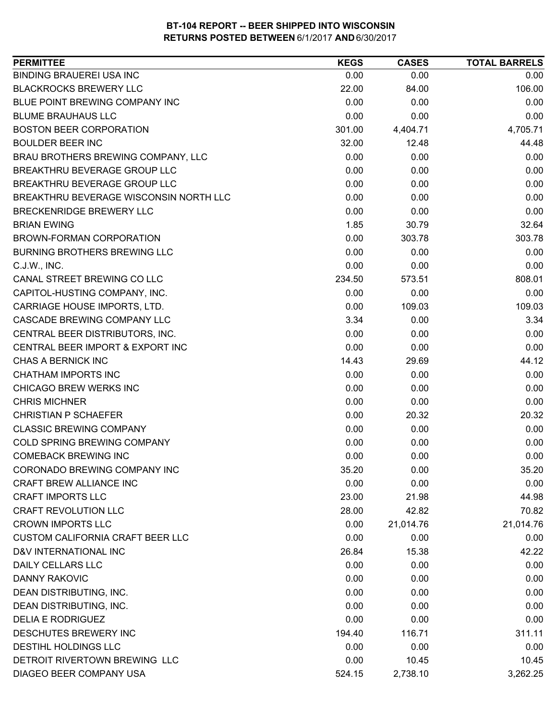| <b>PERMITTEE</b>                        | <b>KEGS</b> | <b>CASES</b> | <b>TOTAL BARRELS</b> |
|-----------------------------------------|-------------|--------------|----------------------|
| <b>BINDING BRAUEREI USA INC</b>         | 0.00        | 0.00         | 0.00                 |
| <b>BLACKROCKS BREWERY LLC</b>           | 22.00       | 84.00        | 106.00               |
| BLUE POINT BREWING COMPANY INC          | 0.00        | 0.00         | 0.00                 |
| <b>BLUME BRAUHAUS LLC</b>               | 0.00        | 0.00         | 0.00                 |
| <b>BOSTON BEER CORPORATION</b>          | 301.00      | 4,404.71     | 4,705.71             |
| <b>BOULDER BEER INC</b>                 | 32.00       | 12.48        | 44.48                |
| BRAU BROTHERS BREWING COMPANY, LLC      | 0.00        | 0.00         | 0.00                 |
| BREAKTHRU BEVERAGE GROUP LLC            | 0.00        | 0.00         | 0.00                 |
| BREAKTHRU BEVERAGE GROUP LLC            | 0.00        | 0.00         | 0.00                 |
| BREAKTHRU BEVERAGE WISCONSIN NORTH LLC  | 0.00        | 0.00         | 0.00                 |
| BRECKENRIDGE BREWERY LLC                | 0.00        | 0.00         | 0.00                 |
| <b>BRIAN EWING</b>                      | 1.85        | 30.79        | 32.64                |
| BROWN-FORMAN CORPORATION                | 0.00        | 303.78       | 303.78               |
| BURNING BROTHERS BREWING LLC            | 0.00        | 0.00         | 0.00                 |
| C.J.W., INC.                            | 0.00        | 0.00         | 0.00                 |
| CANAL STREET BREWING CO LLC             | 234.50      | 573.51       | 808.01               |
| CAPITOL-HUSTING COMPANY, INC.           | 0.00        | 0.00         | 0.00                 |
| CARRIAGE HOUSE IMPORTS, LTD.            | 0.00        | 109.03       | 109.03               |
| CASCADE BREWING COMPANY LLC             | 3.34        | 0.00         | 3.34                 |
| CENTRAL BEER DISTRIBUTORS, INC.         | 0.00        | 0.00         | 0.00                 |
| CENTRAL BEER IMPORT & EXPORT INC        | 0.00        | 0.00         | 0.00                 |
| CHAS A BERNICK INC                      | 14.43       | 29.69        | 44.12                |
| <b>CHATHAM IMPORTS INC</b>              | 0.00        | 0.00         | 0.00                 |
| CHICAGO BREW WERKS INC                  | 0.00        | 0.00         | 0.00                 |
| <b>CHRIS MICHNER</b>                    | 0.00        | 0.00         | 0.00                 |
| <b>CHRISTIAN P SCHAEFER</b>             | 0.00        | 20.32        | 20.32                |
| <b>CLASSIC BREWING COMPANY</b>          | 0.00        | 0.00         | 0.00                 |
| <b>COLD SPRING BREWING COMPANY</b>      | 0.00        | 0.00         | 0.00                 |
| <b>COMEBACK BREWING INC</b>             | 0.00        | 0.00         | 0.00                 |
| CORONADO BREWING COMPANY INC            | 35.20       | 0.00         | 35.20                |
| <b>CRAFT BREW ALLIANCE INC</b>          | 0.00        | 0.00         | 0.00                 |
| <b>CRAFT IMPORTS LLC</b>                | 23.00       | 21.98        | 44.98                |
| <b>CRAFT REVOLUTION LLC</b>             | 28.00       | 42.82        | 70.82                |
| <b>CROWN IMPORTS LLC</b>                | 0.00        | 21,014.76    | 21,014.76            |
| <b>CUSTOM CALIFORNIA CRAFT BEER LLC</b> | 0.00        | 0.00         | 0.00                 |
| D&V INTERNATIONAL INC                   | 26.84       | 15.38        | 42.22                |
| <b>DAILY CELLARS LLC</b>                | 0.00        | 0.00         | 0.00                 |
| <b>DANNY RAKOVIC</b>                    | 0.00        | 0.00         | 0.00                 |
| DEAN DISTRIBUTING, INC.                 | 0.00        | 0.00         | 0.00                 |
| DEAN DISTRIBUTING, INC.                 | 0.00        | 0.00         | 0.00                 |
| <b>DELIA E RODRIGUEZ</b>                | 0.00        | 0.00         | 0.00                 |
| DESCHUTES BREWERY INC                   | 194.40      | 116.71       | 311.11               |
| DESTIHL HOLDINGS LLC                    | 0.00        | 0.00         | 0.00                 |
| DETROIT RIVERTOWN BREWING LLC           | 0.00        | 10.45        | 10.45                |
| DIAGEO BEER COMPANY USA                 | 524.15      | 2,738.10     | 3,262.25             |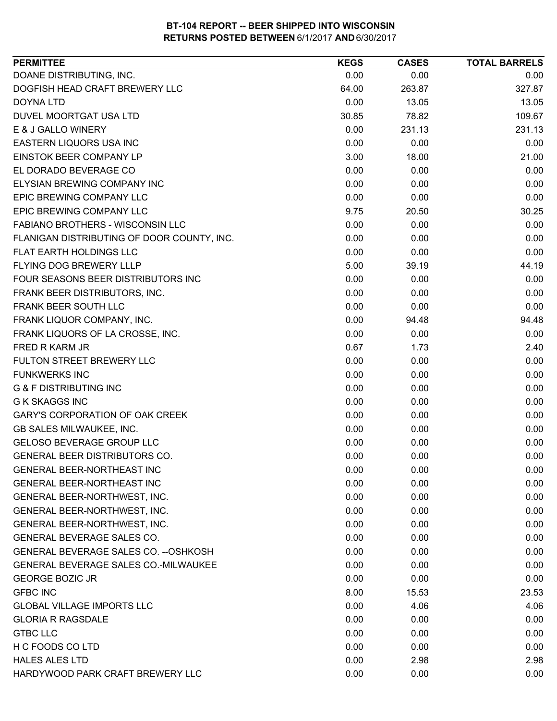| DOANE DISTRIBUTING, INC.<br>0.00<br>0.00<br>0.00<br>DOGFISH HEAD CRAFT BREWERY LLC<br>263.87<br>327.87<br>64.00<br>0.00<br>13.05<br>13.05<br>DOYNA LTD<br>30.85<br>109.67<br>DUVEL MOORTGAT USA LTD<br>78.82<br>E & J GALLO WINERY<br>0.00<br>231.13<br>231.13<br>EASTERN LIQUORS USA INC<br>0.00<br>0.00<br>0.00<br><b>EINSTOK BEER COMPANY LP</b><br>3.00<br>21.00<br>18.00<br>EL DORADO BEVERAGE CO<br>0.00<br>0.00<br>0.00<br>ELYSIAN BREWING COMPANY INC<br>0.00<br>0.00<br>0.00<br>EPIC BREWING COMPANY LLC<br>0.00<br>0.00<br>0.00<br>EPIC BREWING COMPANY LLC<br>9.75<br>20.50<br>30.25<br>FABIANO BROTHERS - WISCONSIN LLC<br>0.00<br>0.00<br>0.00<br>0.00<br>FLANIGAN DISTRIBUTING OF DOOR COUNTY, INC.<br>0.00<br>0.00<br>FLAT EARTH HOLDINGS LLC<br>0.00<br>0.00<br>0.00<br>FLYING DOG BREWERY LLLP<br>5.00<br>39.19<br>44.19<br>FOUR SEASONS BEER DISTRIBUTORS INC<br>0.00<br>0.00<br>0.00<br>0.00<br>0.00<br>FRANK BEER DISTRIBUTORS, INC.<br>0.00<br>FRANK BEER SOUTH LLC<br>0.00<br>0.00<br>0.00<br>FRANK LIQUOR COMPANY, INC.<br>0.00<br>94.48<br>94.48<br>FRANK LIQUORS OF LA CROSSE, INC.<br>0.00<br>0.00<br>0.00<br>0.67<br>1.73<br>2.40<br>FRED R KARM JR<br>FULTON STREET BREWERY LLC<br>0.00<br>0.00<br>0.00<br><b>FUNKWERKS INC</b><br>0.00<br>0.00<br>0.00<br><b>G &amp; F DISTRIBUTING INC</b><br>0.00<br>0.00<br>0.00<br>0.00<br>0.00<br>0.00<br><b>G K SKAGGS INC</b><br><b>GARY'S CORPORATION OF OAK CREEK</b><br>0.00<br>0.00<br>0.00<br>GB SALES MILWAUKEE, INC.<br>0.00<br>0.00<br>0.00<br><b>GELOSO BEVERAGE GROUP LLC</b><br>0.00<br>0.00<br>0.00<br>GENERAL BEER DISTRIBUTORS CO.<br>0.00<br>0.00<br>0.00<br><b>GENERAL BEER-NORTHEAST INC</b><br>0.00<br>0.00<br>0.00<br>GENERAL BEER-NORTHEAST INC<br>0.00<br>0.00<br>0.00<br>GENERAL BEER-NORTHWEST, INC.<br>0.00<br>0.00<br>0.00<br>GENERAL BEER-NORTHWEST, INC.<br>0.00<br>0.00<br>0.00<br>GENERAL BEER-NORTHWEST, INC.<br>0.00<br>0.00<br>0.00<br>0.00<br>0.00<br>GENERAL BEVERAGE SALES CO.<br>0.00<br>GENERAL BEVERAGE SALES CO. -- OSHKOSH<br>0.00<br>0.00<br>0.00<br>GENERAL BEVERAGE SALES CO.-MILWAUKEE<br>0.00<br>0.00<br>0.00<br><b>GEORGE BOZIC JR</b><br>0.00<br>0.00<br>0.00<br><b>GFBC INC</b><br>8.00<br>15.53<br>23.53<br><b>GLOBAL VILLAGE IMPORTS LLC</b><br>0.00<br>4.06<br>4.06<br>0.00<br>0.00<br><b>GLORIA R RAGSDALE</b><br>0.00<br><b>GTBC LLC</b><br>0.00<br>0.00<br>0.00<br>H C FOODS CO LTD<br>0.00<br>0.00<br>0.00<br><b>HALES ALES LTD</b><br>0.00<br>2.98<br>2.98<br>HARDYWOOD PARK CRAFT BREWERY LLC<br>0.00<br>0.00<br>0.00 | <b>PERMITTEE</b> | <b>KEGS</b> | <b>CASES</b> | <b>TOTAL BARRELS</b> |
|----------------------------------------------------------------------------------------------------------------------------------------------------------------------------------------------------------------------------------------------------------------------------------------------------------------------------------------------------------------------------------------------------------------------------------------------------------------------------------------------------------------------------------------------------------------------------------------------------------------------------------------------------------------------------------------------------------------------------------------------------------------------------------------------------------------------------------------------------------------------------------------------------------------------------------------------------------------------------------------------------------------------------------------------------------------------------------------------------------------------------------------------------------------------------------------------------------------------------------------------------------------------------------------------------------------------------------------------------------------------------------------------------------------------------------------------------------------------------------------------------------------------------------------------------------------------------------------------------------------------------------------------------------------------------------------------------------------------------------------------------------------------------------------------------------------------------------------------------------------------------------------------------------------------------------------------------------------------------------------------------------------------------------------------------------------------------------------------------------------------------------------------------------------------------------------------------------------------------------------------------------------------------------------------------------------------------------------------------------------------------------------------------------------------------------------------------------------------------------------------------------------------------------------------------|------------------|-------------|--------------|----------------------|
|                                                                                                                                                                                                                                                                                                                                                                                                                                                                                                                                                                                                                                                                                                                                                                                                                                                                                                                                                                                                                                                                                                                                                                                                                                                                                                                                                                                                                                                                                                                                                                                                                                                                                                                                                                                                                                                                                                                                                                                                                                                                                                                                                                                                                                                                                                                                                                                                                                                                                                                                                    |                  |             |              |                      |
|                                                                                                                                                                                                                                                                                                                                                                                                                                                                                                                                                                                                                                                                                                                                                                                                                                                                                                                                                                                                                                                                                                                                                                                                                                                                                                                                                                                                                                                                                                                                                                                                                                                                                                                                                                                                                                                                                                                                                                                                                                                                                                                                                                                                                                                                                                                                                                                                                                                                                                                                                    |                  |             |              |                      |
|                                                                                                                                                                                                                                                                                                                                                                                                                                                                                                                                                                                                                                                                                                                                                                                                                                                                                                                                                                                                                                                                                                                                                                                                                                                                                                                                                                                                                                                                                                                                                                                                                                                                                                                                                                                                                                                                                                                                                                                                                                                                                                                                                                                                                                                                                                                                                                                                                                                                                                                                                    |                  |             |              |                      |
|                                                                                                                                                                                                                                                                                                                                                                                                                                                                                                                                                                                                                                                                                                                                                                                                                                                                                                                                                                                                                                                                                                                                                                                                                                                                                                                                                                                                                                                                                                                                                                                                                                                                                                                                                                                                                                                                                                                                                                                                                                                                                                                                                                                                                                                                                                                                                                                                                                                                                                                                                    |                  |             |              |                      |
|                                                                                                                                                                                                                                                                                                                                                                                                                                                                                                                                                                                                                                                                                                                                                                                                                                                                                                                                                                                                                                                                                                                                                                                                                                                                                                                                                                                                                                                                                                                                                                                                                                                                                                                                                                                                                                                                                                                                                                                                                                                                                                                                                                                                                                                                                                                                                                                                                                                                                                                                                    |                  |             |              |                      |
|                                                                                                                                                                                                                                                                                                                                                                                                                                                                                                                                                                                                                                                                                                                                                                                                                                                                                                                                                                                                                                                                                                                                                                                                                                                                                                                                                                                                                                                                                                                                                                                                                                                                                                                                                                                                                                                                                                                                                                                                                                                                                                                                                                                                                                                                                                                                                                                                                                                                                                                                                    |                  |             |              |                      |
|                                                                                                                                                                                                                                                                                                                                                                                                                                                                                                                                                                                                                                                                                                                                                                                                                                                                                                                                                                                                                                                                                                                                                                                                                                                                                                                                                                                                                                                                                                                                                                                                                                                                                                                                                                                                                                                                                                                                                                                                                                                                                                                                                                                                                                                                                                                                                                                                                                                                                                                                                    |                  |             |              |                      |
|                                                                                                                                                                                                                                                                                                                                                                                                                                                                                                                                                                                                                                                                                                                                                                                                                                                                                                                                                                                                                                                                                                                                                                                                                                                                                                                                                                                                                                                                                                                                                                                                                                                                                                                                                                                                                                                                                                                                                                                                                                                                                                                                                                                                                                                                                                                                                                                                                                                                                                                                                    |                  |             |              |                      |
|                                                                                                                                                                                                                                                                                                                                                                                                                                                                                                                                                                                                                                                                                                                                                                                                                                                                                                                                                                                                                                                                                                                                                                                                                                                                                                                                                                                                                                                                                                                                                                                                                                                                                                                                                                                                                                                                                                                                                                                                                                                                                                                                                                                                                                                                                                                                                                                                                                                                                                                                                    |                  |             |              |                      |
|                                                                                                                                                                                                                                                                                                                                                                                                                                                                                                                                                                                                                                                                                                                                                                                                                                                                                                                                                                                                                                                                                                                                                                                                                                                                                                                                                                                                                                                                                                                                                                                                                                                                                                                                                                                                                                                                                                                                                                                                                                                                                                                                                                                                                                                                                                                                                                                                                                                                                                                                                    |                  |             |              |                      |
|                                                                                                                                                                                                                                                                                                                                                                                                                                                                                                                                                                                                                                                                                                                                                                                                                                                                                                                                                                                                                                                                                                                                                                                                                                                                                                                                                                                                                                                                                                                                                                                                                                                                                                                                                                                                                                                                                                                                                                                                                                                                                                                                                                                                                                                                                                                                                                                                                                                                                                                                                    |                  |             |              |                      |
|                                                                                                                                                                                                                                                                                                                                                                                                                                                                                                                                                                                                                                                                                                                                                                                                                                                                                                                                                                                                                                                                                                                                                                                                                                                                                                                                                                                                                                                                                                                                                                                                                                                                                                                                                                                                                                                                                                                                                                                                                                                                                                                                                                                                                                                                                                                                                                                                                                                                                                                                                    |                  |             |              |                      |
|                                                                                                                                                                                                                                                                                                                                                                                                                                                                                                                                                                                                                                                                                                                                                                                                                                                                                                                                                                                                                                                                                                                                                                                                                                                                                                                                                                                                                                                                                                                                                                                                                                                                                                                                                                                                                                                                                                                                                                                                                                                                                                                                                                                                                                                                                                                                                                                                                                                                                                                                                    |                  |             |              |                      |
|                                                                                                                                                                                                                                                                                                                                                                                                                                                                                                                                                                                                                                                                                                                                                                                                                                                                                                                                                                                                                                                                                                                                                                                                                                                                                                                                                                                                                                                                                                                                                                                                                                                                                                                                                                                                                                                                                                                                                                                                                                                                                                                                                                                                                                                                                                                                                                                                                                                                                                                                                    |                  |             |              |                      |
|                                                                                                                                                                                                                                                                                                                                                                                                                                                                                                                                                                                                                                                                                                                                                                                                                                                                                                                                                                                                                                                                                                                                                                                                                                                                                                                                                                                                                                                                                                                                                                                                                                                                                                                                                                                                                                                                                                                                                                                                                                                                                                                                                                                                                                                                                                                                                                                                                                                                                                                                                    |                  |             |              |                      |
|                                                                                                                                                                                                                                                                                                                                                                                                                                                                                                                                                                                                                                                                                                                                                                                                                                                                                                                                                                                                                                                                                                                                                                                                                                                                                                                                                                                                                                                                                                                                                                                                                                                                                                                                                                                                                                                                                                                                                                                                                                                                                                                                                                                                                                                                                                                                                                                                                                                                                                                                                    |                  |             |              |                      |
|                                                                                                                                                                                                                                                                                                                                                                                                                                                                                                                                                                                                                                                                                                                                                                                                                                                                                                                                                                                                                                                                                                                                                                                                                                                                                                                                                                                                                                                                                                                                                                                                                                                                                                                                                                                                                                                                                                                                                                                                                                                                                                                                                                                                                                                                                                                                                                                                                                                                                                                                                    |                  |             |              |                      |
|                                                                                                                                                                                                                                                                                                                                                                                                                                                                                                                                                                                                                                                                                                                                                                                                                                                                                                                                                                                                                                                                                                                                                                                                                                                                                                                                                                                                                                                                                                                                                                                                                                                                                                                                                                                                                                                                                                                                                                                                                                                                                                                                                                                                                                                                                                                                                                                                                                                                                                                                                    |                  |             |              |                      |
|                                                                                                                                                                                                                                                                                                                                                                                                                                                                                                                                                                                                                                                                                                                                                                                                                                                                                                                                                                                                                                                                                                                                                                                                                                                                                                                                                                                                                                                                                                                                                                                                                                                                                                                                                                                                                                                                                                                                                                                                                                                                                                                                                                                                                                                                                                                                                                                                                                                                                                                                                    |                  |             |              |                      |
|                                                                                                                                                                                                                                                                                                                                                                                                                                                                                                                                                                                                                                                                                                                                                                                                                                                                                                                                                                                                                                                                                                                                                                                                                                                                                                                                                                                                                                                                                                                                                                                                                                                                                                                                                                                                                                                                                                                                                                                                                                                                                                                                                                                                                                                                                                                                                                                                                                                                                                                                                    |                  |             |              |                      |
|                                                                                                                                                                                                                                                                                                                                                                                                                                                                                                                                                                                                                                                                                                                                                                                                                                                                                                                                                                                                                                                                                                                                                                                                                                                                                                                                                                                                                                                                                                                                                                                                                                                                                                                                                                                                                                                                                                                                                                                                                                                                                                                                                                                                                                                                                                                                                                                                                                                                                                                                                    |                  |             |              |                      |
|                                                                                                                                                                                                                                                                                                                                                                                                                                                                                                                                                                                                                                                                                                                                                                                                                                                                                                                                                                                                                                                                                                                                                                                                                                                                                                                                                                                                                                                                                                                                                                                                                                                                                                                                                                                                                                                                                                                                                                                                                                                                                                                                                                                                                                                                                                                                                                                                                                                                                                                                                    |                  |             |              |                      |
|                                                                                                                                                                                                                                                                                                                                                                                                                                                                                                                                                                                                                                                                                                                                                                                                                                                                                                                                                                                                                                                                                                                                                                                                                                                                                                                                                                                                                                                                                                                                                                                                                                                                                                                                                                                                                                                                                                                                                                                                                                                                                                                                                                                                                                                                                                                                                                                                                                                                                                                                                    |                  |             |              |                      |
|                                                                                                                                                                                                                                                                                                                                                                                                                                                                                                                                                                                                                                                                                                                                                                                                                                                                                                                                                                                                                                                                                                                                                                                                                                                                                                                                                                                                                                                                                                                                                                                                                                                                                                                                                                                                                                                                                                                                                                                                                                                                                                                                                                                                                                                                                                                                                                                                                                                                                                                                                    |                  |             |              |                      |
|                                                                                                                                                                                                                                                                                                                                                                                                                                                                                                                                                                                                                                                                                                                                                                                                                                                                                                                                                                                                                                                                                                                                                                                                                                                                                                                                                                                                                                                                                                                                                                                                                                                                                                                                                                                                                                                                                                                                                                                                                                                                                                                                                                                                                                                                                                                                                                                                                                                                                                                                                    |                  |             |              |                      |
|                                                                                                                                                                                                                                                                                                                                                                                                                                                                                                                                                                                                                                                                                                                                                                                                                                                                                                                                                                                                                                                                                                                                                                                                                                                                                                                                                                                                                                                                                                                                                                                                                                                                                                                                                                                                                                                                                                                                                                                                                                                                                                                                                                                                                                                                                                                                                                                                                                                                                                                                                    |                  |             |              |                      |
|                                                                                                                                                                                                                                                                                                                                                                                                                                                                                                                                                                                                                                                                                                                                                                                                                                                                                                                                                                                                                                                                                                                                                                                                                                                                                                                                                                                                                                                                                                                                                                                                                                                                                                                                                                                                                                                                                                                                                                                                                                                                                                                                                                                                                                                                                                                                                                                                                                                                                                                                                    |                  |             |              |                      |
|                                                                                                                                                                                                                                                                                                                                                                                                                                                                                                                                                                                                                                                                                                                                                                                                                                                                                                                                                                                                                                                                                                                                                                                                                                                                                                                                                                                                                                                                                                                                                                                                                                                                                                                                                                                                                                                                                                                                                                                                                                                                                                                                                                                                                                                                                                                                                                                                                                                                                                                                                    |                  |             |              |                      |
|                                                                                                                                                                                                                                                                                                                                                                                                                                                                                                                                                                                                                                                                                                                                                                                                                                                                                                                                                                                                                                                                                                                                                                                                                                                                                                                                                                                                                                                                                                                                                                                                                                                                                                                                                                                                                                                                                                                                                                                                                                                                                                                                                                                                                                                                                                                                                                                                                                                                                                                                                    |                  |             |              |                      |
|                                                                                                                                                                                                                                                                                                                                                                                                                                                                                                                                                                                                                                                                                                                                                                                                                                                                                                                                                                                                                                                                                                                                                                                                                                                                                                                                                                                                                                                                                                                                                                                                                                                                                                                                                                                                                                                                                                                                                                                                                                                                                                                                                                                                                                                                                                                                                                                                                                                                                                                                                    |                  |             |              |                      |
|                                                                                                                                                                                                                                                                                                                                                                                                                                                                                                                                                                                                                                                                                                                                                                                                                                                                                                                                                                                                                                                                                                                                                                                                                                                                                                                                                                                                                                                                                                                                                                                                                                                                                                                                                                                                                                                                                                                                                                                                                                                                                                                                                                                                                                                                                                                                                                                                                                                                                                                                                    |                  |             |              |                      |
|                                                                                                                                                                                                                                                                                                                                                                                                                                                                                                                                                                                                                                                                                                                                                                                                                                                                                                                                                                                                                                                                                                                                                                                                                                                                                                                                                                                                                                                                                                                                                                                                                                                                                                                                                                                                                                                                                                                                                                                                                                                                                                                                                                                                                                                                                                                                                                                                                                                                                                                                                    |                  |             |              |                      |
|                                                                                                                                                                                                                                                                                                                                                                                                                                                                                                                                                                                                                                                                                                                                                                                                                                                                                                                                                                                                                                                                                                                                                                                                                                                                                                                                                                                                                                                                                                                                                                                                                                                                                                                                                                                                                                                                                                                                                                                                                                                                                                                                                                                                                                                                                                                                                                                                                                                                                                                                                    |                  |             |              |                      |
|                                                                                                                                                                                                                                                                                                                                                                                                                                                                                                                                                                                                                                                                                                                                                                                                                                                                                                                                                                                                                                                                                                                                                                                                                                                                                                                                                                                                                                                                                                                                                                                                                                                                                                                                                                                                                                                                                                                                                                                                                                                                                                                                                                                                                                                                                                                                                                                                                                                                                                                                                    |                  |             |              |                      |
|                                                                                                                                                                                                                                                                                                                                                                                                                                                                                                                                                                                                                                                                                                                                                                                                                                                                                                                                                                                                                                                                                                                                                                                                                                                                                                                                                                                                                                                                                                                                                                                                                                                                                                                                                                                                                                                                                                                                                                                                                                                                                                                                                                                                                                                                                                                                                                                                                                                                                                                                                    |                  |             |              |                      |
|                                                                                                                                                                                                                                                                                                                                                                                                                                                                                                                                                                                                                                                                                                                                                                                                                                                                                                                                                                                                                                                                                                                                                                                                                                                                                                                                                                                                                                                                                                                                                                                                                                                                                                                                                                                                                                                                                                                                                                                                                                                                                                                                                                                                                                                                                                                                                                                                                                                                                                                                                    |                  |             |              |                      |
|                                                                                                                                                                                                                                                                                                                                                                                                                                                                                                                                                                                                                                                                                                                                                                                                                                                                                                                                                                                                                                                                                                                                                                                                                                                                                                                                                                                                                                                                                                                                                                                                                                                                                                                                                                                                                                                                                                                                                                                                                                                                                                                                                                                                                                                                                                                                                                                                                                                                                                                                                    |                  |             |              |                      |
|                                                                                                                                                                                                                                                                                                                                                                                                                                                                                                                                                                                                                                                                                                                                                                                                                                                                                                                                                                                                                                                                                                                                                                                                                                                                                                                                                                                                                                                                                                                                                                                                                                                                                                                                                                                                                                                                                                                                                                                                                                                                                                                                                                                                                                                                                                                                                                                                                                                                                                                                                    |                  |             |              |                      |
|                                                                                                                                                                                                                                                                                                                                                                                                                                                                                                                                                                                                                                                                                                                                                                                                                                                                                                                                                                                                                                                                                                                                                                                                                                                                                                                                                                                                                                                                                                                                                                                                                                                                                                                                                                                                                                                                                                                                                                                                                                                                                                                                                                                                                                                                                                                                                                                                                                                                                                                                                    |                  |             |              |                      |
|                                                                                                                                                                                                                                                                                                                                                                                                                                                                                                                                                                                                                                                                                                                                                                                                                                                                                                                                                                                                                                                                                                                                                                                                                                                                                                                                                                                                                                                                                                                                                                                                                                                                                                                                                                                                                                                                                                                                                                                                                                                                                                                                                                                                                                                                                                                                                                                                                                                                                                                                                    |                  |             |              |                      |
|                                                                                                                                                                                                                                                                                                                                                                                                                                                                                                                                                                                                                                                                                                                                                                                                                                                                                                                                                                                                                                                                                                                                                                                                                                                                                                                                                                                                                                                                                                                                                                                                                                                                                                                                                                                                                                                                                                                                                                                                                                                                                                                                                                                                                                                                                                                                                                                                                                                                                                                                                    |                  |             |              |                      |
|                                                                                                                                                                                                                                                                                                                                                                                                                                                                                                                                                                                                                                                                                                                                                                                                                                                                                                                                                                                                                                                                                                                                                                                                                                                                                                                                                                                                                                                                                                                                                                                                                                                                                                                                                                                                                                                                                                                                                                                                                                                                                                                                                                                                                                                                                                                                                                                                                                                                                                                                                    |                  |             |              |                      |
|                                                                                                                                                                                                                                                                                                                                                                                                                                                                                                                                                                                                                                                                                                                                                                                                                                                                                                                                                                                                                                                                                                                                                                                                                                                                                                                                                                                                                                                                                                                                                                                                                                                                                                                                                                                                                                                                                                                                                                                                                                                                                                                                                                                                                                                                                                                                                                                                                                                                                                                                                    |                  |             |              |                      |
|                                                                                                                                                                                                                                                                                                                                                                                                                                                                                                                                                                                                                                                                                                                                                                                                                                                                                                                                                                                                                                                                                                                                                                                                                                                                                                                                                                                                                                                                                                                                                                                                                                                                                                                                                                                                                                                                                                                                                                                                                                                                                                                                                                                                                                                                                                                                                                                                                                                                                                                                                    |                  |             |              |                      |
|                                                                                                                                                                                                                                                                                                                                                                                                                                                                                                                                                                                                                                                                                                                                                                                                                                                                                                                                                                                                                                                                                                                                                                                                                                                                                                                                                                                                                                                                                                                                                                                                                                                                                                                                                                                                                                                                                                                                                                                                                                                                                                                                                                                                                                                                                                                                                                                                                                                                                                                                                    |                  |             |              |                      |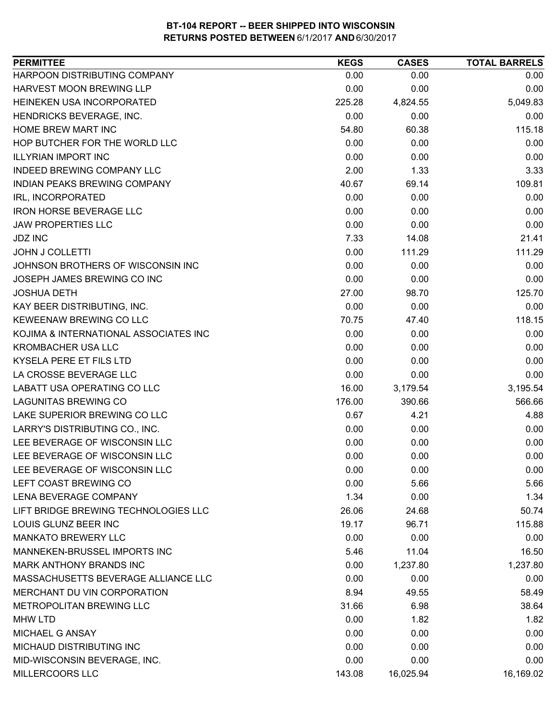| HARPOON DISTRIBUTING COMPANY<br>0.00<br>0.00<br>0.00<br>HARVEST MOON BREWING LLP<br>0.00<br>0.00<br>0.00<br>HEINEKEN USA INCORPORATED<br>225.28<br>4,824.55<br>5,049.83<br>0.00<br>0.00<br>0.00<br>HENDRICKS BEVERAGE, INC.<br>HOME BREW MART INC<br>54.80<br>60.38<br>115.18<br>HOP BUTCHER FOR THE WORLD LLC<br>0.00<br>0.00<br>0.00<br>0.00<br><b>ILLYRIAN IMPORT INC</b><br>0.00<br>0.00<br>2.00<br><b>INDEED BREWING COMPANY LLC</b><br>1.33<br>3.33<br>INDIAN PEAKS BREWING COMPANY<br>40.67<br>69.14<br>109.81<br>0.00<br>0.00<br>0.00<br>IRL, INCORPORATED<br><b>IRON HORSE BEVERAGE LLC</b><br>0.00<br>0.00<br>0.00<br>0.00<br>0.00<br>0.00<br><b>JAW PROPERTIES LLC</b><br>7.33<br>21.41<br><b>JDZ INC</b><br>14.08<br><b>JOHN J COLLETTI</b><br>0.00<br>111.29<br>111.29<br>JOHNSON BROTHERS OF WISCONSIN INC<br>0.00<br>0.00<br>0.00<br>0.00<br>0.00<br>0.00<br>JOSEPH JAMES BREWING CO INC<br>27.00<br>98.70<br>125.70<br><b>JOSHUA DETH</b><br>KAY BEER DISTRIBUTING, INC.<br>0.00<br>0.00<br>0.00<br>KEWEENAW BREWING CO LLC<br>70.75<br>118.15<br>47.40<br>KOJIMA & INTERNATIONAL ASSOCIATES INC<br>0.00<br>0.00<br>0.00<br>0.00<br><b>KROMBACHER USA LLC</b><br>0.00<br>0.00<br>KYSELA PERE ET FILS LTD<br>0.00<br>0.00<br>0.00<br>LA CROSSE BEVERAGE LLC<br>0.00<br>0.00<br>0.00<br>LABATT USA OPERATING CO LLC<br>16.00<br>3,179.54<br>3,195.54<br><b>LAGUNITAS BREWING CO</b><br>176.00<br>390.66<br>566.66<br>LAKE SUPERIOR BREWING CO LLC<br>0.67<br>4.21<br>4.88<br>LARRY'S DISTRIBUTING CO., INC.<br>0.00<br>0.00<br>0.00<br>LEE BEVERAGE OF WISCONSIN LLC<br>0.00<br>0.00<br>0.00<br>LEE BEVERAGE OF WISCONSIN LLC<br>0.00<br>0.00<br>0.00<br>LEE BEVERAGE OF WISCONSIN LLC<br>0.00<br>0.00<br>0.00<br>LEFT COAST BREWING CO<br>0.00<br>5.66<br>5.66<br>LENA BEVERAGE COMPANY<br>1.34<br>0.00<br>1.34<br>LIFT BRIDGE BREWING TECHNOLOGIES LLC<br>26.06<br>24.68<br>50.74<br>LOUIS GLUNZ BEER INC<br>19.17<br>96.71<br>115.88<br><b>MANKATO BREWERY LLC</b><br>0.00<br>0.00<br>0.00<br>MANNEKEN-BRUSSEL IMPORTS INC<br>5.46<br>11.04<br>16.50<br>MARK ANTHONY BRANDS INC<br>0.00<br>1,237.80<br>1,237.80<br>MASSACHUSETTS BEVERAGE ALLIANCE LLC<br>0.00<br>0.00<br>0.00<br>MERCHANT DU VIN CORPORATION<br>8.94<br>58.49<br>49.55<br>METROPOLITAN BREWING LLC<br>31.66<br>6.98<br>38.64<br>0.00<br><b>MHW LTD</b><br>1.82<br>1.82<br>MICHAEL G ANSAY<br>0.00<br>0.00<br>0.00<br>MICHAUD DISTRIBUTING INC<br>0.00<br>0.00<br>0.00<br>MID-WISCONSIN BEVERAGE, INC.<br>0.00<br>0.00<br>0.00<br>MILLERCOORS LLC<br>143.08<br>16,025.94<br>16,169.02 | <b>PERMITTEE</b> | <b>KEGS</b> | <b>CASES</b> | <b>TOTAL BARRELS</b> |
|------------------------------------------------------------------------------------------------------------------------------------------------------------------------------------------------------------------------------------------------------------------------------------------------------------------------------------------------------------------------------------------------------------------------------------------------------------------------------------------------------------------------------------------------------------------------------------------------------------------------------------------------------------------------------------------------------------------------------------------------------------------------------------------------------------------------------------------------------------------------------------------------------------------------------------------------------------------------------------------------------------------------------------------------------------------------------------------------------------------------------------------------------------------------------------------------------------------------------------------------------------------------------------------------------------------------------------------------------------------------------------------------------------------------------------------------------------------------------------------------------------------------------------------------------------------------------------------------------------------------------------------------------------------------------------------------------------------------------------------------------------------------------------------------------------------------------------------------------------------------------------------------------------------------------------------------------------------------------------------------------------------------------------------------------------------------------------------------------------------------------------------------------------------------------------------------------------------------------------------------------------------------------------------------------------------------------------------------------------------------------------------------------------------------------------------------------------------------------------------------------------------------------------------------------------------------|------------------|-------------|--------------|----------------------|
|                                                                                                                                                                                                                                                                                                                                                                                                                                                                                                                                                                                                                                                                                                                                                                                                                                                                                                                                                                                                                                                                                                                                                                                                                                                                                                                                                                                                                                                                                                                                                                                                                                                                                                                                                                                                                                                                                                                                                                                                                                                                                                                                                                                                                                                                                                                                                                                                                                                                                                                                                                        |                  |             |              |                      |
|                                                                                                                                                                                                                                                                                                                                                                                                                                                                                                                                                                                                                                                                                                                                                                                                                                                                                                                                                                                                                                                                                                                                                                                                                                                                                                                                                                                                                                                                                                                                                                                                                                                                                                                                                                                                                                                                                                                                                                                                                                                                                                                                                                                                                                                                                                                                                                                                                                                                                                                                                                        |                  |             |              |                      |
|                                                                                                                                                                                                                                                                                                                                                                                                                                                                                                                                                                                                                                                                                                                                                                                                                                                                                                                                                                                                                                                                                                                                                                                                                                                                                                                                                                                                                                                                                                                                                                                                                                                                                                                                                                                                                                                                                                                                                                                                                                                                                                                                                                                                                                                                                                                                                                                                                                                                                                                                                                        |                  |             |              |                      |
|                                                                                                                                                                                                                                                                                                                                                                                                                                                                                                                                                                                                                                                                                                                                                                                                                                                                                                                                                                                                                                                                                                                                                                                                                                                                                                                                                                                                                                                                                                                                                                                                                                                                                                                                                                                                                                                                                                                                                                                                                                                                                                                                                                                                                                                                                                                                                                                                                                                                                                                                                                        |                  |             |              |                      |
|                                                                                                                                                                                                                                                                                                                                                                                                                                                                                                                                                                                                                                                                                                                                                                                                                                                                                                                                                                                                                                                                                                                                                                                                                                                                                                                                                                                                                                                                                                                                                                                                                                                                                                                                                                                                                                                                                                                                                                                                                                                                                                                                                                                                                                                                                                                                                                                                                                                                                                                                                                        |                  |             |              |                      |
|                                                                                                                                                                                                                                                                                                                                                                                                                                                                                                                                                                                                                                                                                                                                                                                                                                                                                                                                                                                                                                                                                                                                                                                                                                                                                                                                                                                                                                                                                                                                                                                                                                                                                                                                                                                                                                                                                                                                                                                                                                                                                                                                                                                                                                                                                                                                                                                                                                                                                                                                                                        |                  |             |              |                      |
|                                                                                                                                                                                                                                                                                                                                                                                                                                                                                                                                                                                                                                                                                                                                                                                                                                                                                                                                                                                                                                                                                                                                                                                                                                                                                                                                                                                                                                                                                                                                                                                                                                                                                                                                                                                                                                                                                                                                                                                                                                                                                                                                                                                                                                                                                                                                                                                                                                                                                                                                                                        |                  |             |              |                      |
|                                                                                                                                                                                                                                                                                                                                                                                                                                                                                                                                                                                                                                                                                                                                                                                                                                                                                                                                                                                                                                                                                                                                                                                                                                                                                                                                                                                                                                                                                                                                                                                                                                                                                                                                                                                                                                                                                                                                                                                                                                                                                                                                                                                                                                                                                                                                                                                                                                                                                                                                                                        |                  |             |              |                      |
|                                                                                                                                                                                                                                                                                                                                                                                                                                                                                                                                                                                                                                                                                                                                                                                                                                                                                                                                                                                                                                                                                                                                                                                                                                                                                                                                                                                                                                                                                                                                                                                                                                                                                                                                                                                                                                                                                                                                                                                                                                                                                                                                                                                                                                                                                                                                                                                                                                                                                                                                                                        |                  |             |              |                      |
|                                                                                                                                                                                                                                                                                                                                                                                                                                                                                                                                                                                                                                                                                                                                                                                                                                                                                                                                                                                                                                                                                                                                                                                                                                                                                                                                                                                                                                                                                                                                                                                                                                                                                                                                                                                                                                                                                                                                                                                                                                                                                                                                                                                                                                                                                                                                                                                                                                                                                                                                                                        |                  |             |              |                      |
|                                                                                                                                                                                                                                                                                                                                                                                                                                                                                                                                                                                                                                                                                                                                                                                                                                                                                                                                                                                                                                                                                                                                                                                                                                                                                                                                                                                                                                                                                                                                                                                                                                                                                                                                                                                                                                                                                                                                                                                                                                                                                                                                                                                                                                                                                                                                                                                                                                                                                                                                                                        |                  |             |              |                      |
|                                                                                                                                                                                                                                                                                                                                                                                                                                                                                                                                                                                                                                                                                                                                                                                                                                                                                                                                                                                                                                                                                                                                                                                                                                                                                                                                                                                                                                                                                                                                                                                                                                                                                                                                                                                                                                                                                                                                                                                                                                                                                                                                                                                                                                                                                                                                                                                                                                                                                                                                                                        |                  |             |              |                      |
|                                                                                                                                                                                                                                                                                                                                                                                                                                                                                                                                                                                                                                                                                                                                                                                                                                                                                                                                                                                                                                                                                                                                                                                                                                                                                                                                                                                                                                                                                                                                                                                                                                                                                                                                                                                                                                                                                                                                                                                                                                                                                                                                                                                                                                                                                                                                                                                                                                                                                                                                                                        |                  |             |              |                      |
|                                                                                                                                                                                                                                                                                                                                                                                                                                                                                                                                                                                                                                                                                                                                                                                                                                                                                                                                                                                                                                                                                                                                                                                                                                                                                                                                                                                                                                                                                                                                                                                                                                                                                                                                                                                                                                                                                                                                                                                                                                                                                                                                                                                                                                                                                                                                                                                                                                                                                                                                                                        |                  |             |              |                      |
|                                                                                                                                                                                                                                                                                                                                                                                                                                                                                                                                                                                                                                                                                                                                                                                                                                                                                                                                                                                                                                                                                                                                                                                                                                                                                                                                                                                                                                                                                                                                                                                                                                                                                                                                                                                                                                                                                                                                                                                                                                                                                                                                                                                                                                                                                                                                                                                                                                                                                                                                                                        |                  |             |              |                      |
|                                                                                                                                                                                                                                                                                                                                                                                                                                                                                                                                                                                                                                                                                                                                                                                                                                                                                                                                                                                                                                                                                                                                                                                                                                                                                                                                                                                                                                                                                                                                                                                                                                                                                                                                                                                                                                                                                                                                                                                                                                                                                                                                                                                                                                                                                                                                                                                                                                                                                                                                                                        |                  |             |              |                      |
|                                                                                                                                                                                                                                                                                                                                                                                                                                                                                                                                                                                                                                                                                                                                                                                                                                                                                                                                                                                                                                                                                                                                                                                                                                                                                                                                                                                                                                                                                                                                                                                                                                                                                                                                                                                                                                                                                                                                                                                                                                                                                                                                                                                                                                                                                                                                                                                                                                                                                                                                                                        |                  |             |              |                      |
|                                                                                                                                                                                                                                                                                                                                                                                                                                                                                                                                                                                                                                                                                                                                                                                                                                                                                                                                                                                                                                                                                                                                                                                                                                                                                                                                                                                                                                                                                                                                                                                                                                                                                                                                                                                                                                                                                                                                                                                                                                                                                                                                                                                                                                                                                                                                                                                                                                                                                                                                                                        |                  |             |              |                      |
|                                                                                                                                                                                                                                                                                                                                                                                                                                                                                                                                                                                                                                                                                                                                                                                                                                                                                                                                                                                                                                                                                                                                                                                                                                                                                                                                                                                                                                                                                                                                                                                                                                                                                                                                                                                                                                                                                                                                                                                                                                                                                                                                                                                                                                                                                                                                                                                                                                                                                                                                                                        |                  |             |              |                      |
|                                                                                                                                                                                                                                                                                                                                                                                                                                                                                                                                                                                                                                                                                                                                                                                                                                                                                                                                                                                                                                                                                                                                                                                                                                                                                                                                                                                                                                                                                                                                                                                                                                                                                                                                                                                                                                                                                                                                                                                                                                                                                                                                                                                                                                                                                                                                                                                                                                                                                                                                                                        |                  |             |              |                      |
|                                                                                                                                                                                                                                                                                                                                                                                                                                                                                                                                                                                                                                                                                                                                                                                                                                                                                                                                                                                                                                                                                                                                                                                                                                                                                                                                                                                                                                                                                                                                                                                                                                                                                                                                                                                                                                                                                                                                                                                                                                                                                                                                                                                                                                                                                                                                                                                                                                                                                                                                                                        |                  |             |              |                      |
|                                                                                                                                                                                                                                                                                                                                                                                                                                                                                                                                                                                                                                                                                                                                                                                                                                                                                                                                                                                                                                                                                                                                                                                                                                                                                                                                                                                                                                                                                                                                                                                                                                                                                                                                                                                                                                                                                                                                                                                                                                                                                                                                                                                                                                                                                                                                                                                                                                                                                                                                                                        |                  |             |              |                      |
|                                                                                                                                                                                                                                                                                                                                                                                                                                                                                                                                                                                                                                                                                                                                                                                                                                                                                                                                                                                                                                                                                                                                                                                                                                                                                                                                                                                                                                                                                                                                                                                                                                                                                                                                                                                                                                                                                                                                                                                                                                                                                                                                                                                                                                                                                                                                                                                                                                                                                                                                                                        |                  |             |              |                      |
|                                                                                                                                                                                                                                                                                                                                                                                                                                                                                                                                                                                                                                                                                                                                                                                                                                                                                                                                                                                                                                                                                                                                                                                                                                                                                                                                                                                                                                                                                                                                                                                                                                                                                                                                                                                                                                                                                                                                                                                                                                                                                                                                                                                                                                                                                                                                                                                                                                                                                                                                                                        |                  |             |              |                      |
|                                                                                                                                                                                                                                                                                                                                                                                                                                                                                                                                                                                                                                                                                                                                                                                                                                                                                                                                                                                                                                                                                                                                                                                                                                                                                                                                                                                                                                                                                                                                                                                                                                                                                                                                                                                                                                                                                                                                                                                                                                                                                                                                                                                                                                                                                                                                                                                                                                                                                                                                                                        |                  |             |              |                      |
|                                                                                                                                                                                                                                                                                                                                                                                                                                                                                                                                                                                                                                                                                                                                                                                                                                                                                                                                                                                                                                                                                                                                                                                                                                                                                                                                                                                                                                                                                                                                                                                                                                                                                                                                                                                                                                                                                                                                                                                                                                                                                                                                                                                                                                                                                                                                                                                                                                                                                                                                                                        |                  |             |              |                      |
|                                                                                                                                                                                                                                                                                                                                                                                                                                                                                                                                                                                                                                                                                                                                                                                                                                                                                                                                                                                                                                                                                                                                                                                                                                                                                                                                                                                                                                                                                                                                                                                                                                                                                                                                                                                                                                                                                                                                                                                                                                                                                                                                                                                                                                                                                                                                                                                                                                                                                                                                                                        |                  |             |              |                      |
|                                                                                                                                                                                                                                                                                                                                                                                                                                                                                                                                                                                                                                                                                                                                                                                                                                                                                                                                                                                                                                                                                                                                                                                                                                                                                                                                                                                                                                                                                                                                                                                                                                                                                                                                                                                                                                                                                                                                                                                                                                                                                                                                                                                                                                                                                                                                                                                                                                                                                                                                                                        |                  |             |              |                      |
|                                                                                                                                                                                                                                                                                                                                                                                                                                                                                                                                                                                                                                                                                                                                                                                                                                                                                                                                                                                                                                                                                                                                                                                                                                                                                                                                                                                                                                                                                                                                                                                                                                                                                                                                                                                                                                                                                                                                                                                                                                                                                                                                                                                                                                                                                                                                                                                                                                                                                                                                                                        |                  |             |              |                      |
|                                                                                                                                                                                                                                                                                                                                                                                                                                                                                                                                                                                                                                                                                                                                                                                                                                                                                                                                                                                                                                                                                                                                                                                                                                                                                                                                                                                                                                                                                                                                                                                                                                                                                                                                                                                                                                                                                                                                                                                                                                                                                                                                                                                                                                                                                                                                                                                                                                                                                                                                                                        |                  |             |              |                      |
|                                                                                                                                                                                                                                                                                                                                                                                                                                                                                                                                                                                                                                                                                                                                                                                                                                                                                                                                                                                                                                                                                                                                                                                                                                                                                                                                                                                                                                                                                                                                                                                                                                                                                                                                                                                                                                                                                                                                                                                                                                                                                                                                                                                                                                                                                                                                                                                                                                                                                                                                                                        |                  |             |              |                      |
|                                                                                                                                                                                                                                                                                                                                                                                                                                                                                                                                                                                                                                                                                                                                                                                                                                                                                                                                                                                                                                                                                                                                                                                                                                                                                                                                                                                                                                                                                                                                                                                                                                                                                                                                                                                                                                                                                                                                                                                                                                                                                                                                                                                                                                                                                                                                                                                                                                                                                                                                                                        |                  |             |              |                      |
|                                                                                                                                                                                                                                                                                                                                                                                                                                                                                                                                                                                                                                                                                                                                                                                                                                                                                                                                                                                                                                                                                                                                                                                                                                                                                                                                                                                                                                                                                                                                                                                                                                                                                                                                                                                                                                                                                                                                                                                                                                                                                                                                                                                                                                                                                                                                                                                                                                                                                                                                                                        |                  |             |              |                      |
|                                                                                                                                                                                                                                                                                                                                                                                                                                                                                                                                                                                                                                                                                                                                                                                                                                                                                                                                                                                                                                                                                                                                                                                                                                                                                                                                                                                                                                                                                                                                                                                                                                                                                                                                                                                                                                                                                                                                                                                                                                                                                                                                                                                                                                                                                                                                                                                                                                                                                                                                                                        |                  |             |              |                      |
|                                                                                                                                                                                                                                                                                                                                                                                                                                                                                                                                                                                                                                                                                                                                                                                                                                                                                                                                                                                                                                                                                                                                                                                                                                                                                                                                                                                                                                                                                                                                                                                                                                                                                                                                                                                                                                                                                                                                                                                                                                                                                                                                                                                                                                                                                                                                                                                                                                                                                                                                                                        |                  |             |              |                      |
|                                                                                                                                                                                                                                                                                                                                                                                                                                                                                                                                                                                                                                                                                                                                                                                                                                                                                                                                                                                                                                                                                                                                                                                                                                                                                                                                                                                                                                                                                                                                                                                                                                                                                                                                                                                                                                                                                                                                                                                                                                                                                                                                                                                                                                                                                                                                                                                                                                                                                                                                                                        |                  |             |              |                      |
|                                                                                                                                                                                                                                                                                                                                                                                                                                                                                                                                                                                                                                                                                                                                                                                                                                                                                                                                                                                                                                                                                                                                                                                                                                                                                                                                                                                                                                                                                                                                                                                                                                                                                                                                                                                                                                                                                                                                                                                                                                                                                                                                                                                                                                                                                                                                                                                                                                                                                                                                                                        |                  |             |              |                      |
|                                                                                                                                                                                                                                                                                                                                                                                                                                                                                                                                                                                                                                                                                                                                                                                                                                                                                                                                                                                                                                                                                                                                                                                                                                                                                                                                                                                                                                                                                                                                                                                                                                                                                                                                                                                                                                                                                                                                                                                                                                                                                                                                                                                                                                                                                                                                                                                                                                                                                                                                                                        |                  |             |              |                      |
|                                                                                                                                                                                                                                                                                                                                                                                                                                                                                                                                                                                                                                                                                                                                                                                                                                                                                                                                                                                                                                                                                                                                                                                                                                                                                                                                                                                                                                                                                                                                                                                                                                                                                                                                                                                                                                                                                                                                                                                                                                                                                                                                                                                                                                                                                                                                                                                                                                                                                                                                                                        |                  |             |              |                      |
|                                                                                                                                                                                                                                                                                                                                                                                                                                                                                                                                                                                                                                                                                                                                                                                                                                                                                                                                                                                                                                                                                                                                                                                                                                                                                                                                                                                                                                                                                                                                                                                                                                                                                                                                                                                                                                                                                                                                                                                                                                                                                                                                                                                                                                                                                                                                                                                                                                                                                                                                                                        |                  |             |              |                      |
|                                                                                                                                                                                                                                                                                                                                                                                                                                                                                                                                                                                                                                                                                                                                                                                                                                                                                                                                                                                                                                                                                                                                                                                                                                                                                                                                                                                                                                                                                                                                                                                                                                                                                                                                                                                                                                                                                                                                                                                                                                                                                                                                                                                                                                                                                                                                                                                                                                                                                                                                                                        |                  |             |              |                      |
|                                                                                                                                                                                                                                                                                                                                                                                                                                                                                                                                                                                                                                                                                                                                                                                                                                                                                                                                                                                                                                                                                                                                                                                                                                                                                                                                                                                                                                                                                                                                                                                                                                                                                                                                                                                                                                                                                                                                                                                                                                                                                                                                                                                                                                                                                                                                                                                                                                                                                                                                                                        |                  |             |              |                      |
|                                                                                                                                                                                                                                                                                                                                                                                                                                                                                                                                                                                                                                                                                                                                                                                                                                                                                                                                                                                                                                                                                                                                                                                                                                                                                                                                                                                                                                                                                                                                                                                                                                                                                                                                                                                                                                                                                                                                                                                                                                                                                                                                                                                                                                                                                                                                                                                                                                                                                                                                                                        |                  |             |              |                      |
|                                                                                                                                                                                                                                                                                                                                                                                                                                                                                                                                                                                                                                                                                                                                                                                                                                                                                                                                                                                                                                                                                                                                                                                                                                                                                                                                                                                                                                                                                                                                                                                                                                                                                                                                                                                                                                                                                                                                                                                                                                                                                                                                                                                                                                                                                                                                                                                                                                                                                                                                                                        |                  |             |              |                      |
|                                                                                                                                                                                                                                                                                                                                                                                                                                                                                                                                                                                                                                                                                                                                                                                                                                                                                                                                                                                                                                                                                                                                                                                                                                                                                                                                                                                                                                                                                                                                                                                                                                                                                                                                                                                                                                                                                                                                                                                                                                                                                                                                                                                                                                                                                                                                                                                                                                                                                                                                                                        |                  |             |              |                      |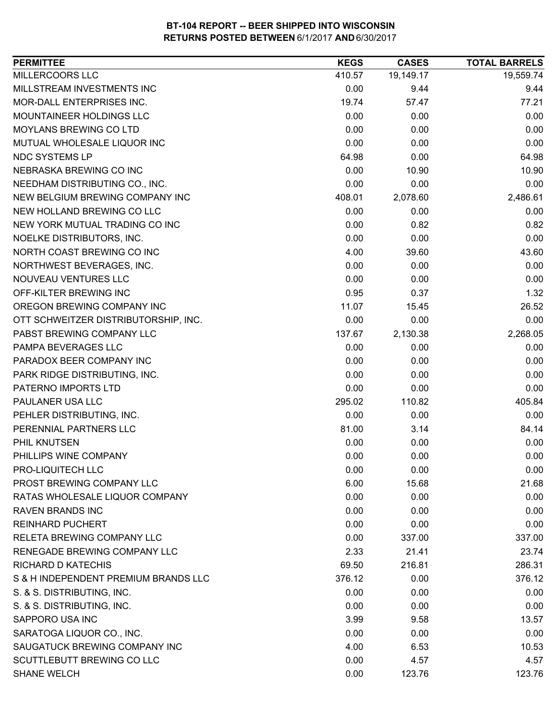| MILLERCOORS LLC<br>19,149.17<br>19,559.74<br>410.57<br>MILLSTREAM INVESTMENTS INC<br>0.00<br>9.44<br>9.44<br>MOR-DALL ENTERPRISES INC.<br>57.47<br>77.21<br>19.74<br>MOUNTAINEER HOLDINGS LLC<br>0.00<br>0.00<br>0.00<br>0.00<br><b>MOYLANS BREWING CO LTD</b><br>0.00<br>0.00<br>MUTUAL WHOLESALE LIQUOR INC<br>0.00<br>0.00<br>0.00<br>NDC SYSTEMS LP<br>0.00<br>64.98<br>64.98<br>0.00<br>NEBRASKA BREWING CO INC<br>10.90<br>10.90 |
|----------------------------------------------------------------------------------------------------------------------------------------------------------------------------------------------------------------------------------------------------------------------------------------------------------------------------------------------------------------------------------------------------------------------------------------|
|                                                                                                                                                                                                                                                                                                                                                                                                                                        |
|                                                                                                                                                                                                                                                                                                                                                                                                                                        |
|                                                                                                                                                                                                                                                                                                                                                                                                                                        |
|                                                                                                                                                                                                                                                                                                                                                                                                                                        |
|                                                                                                                                                                                                                                                                                                                                                                                                                                        |
|                                                                                                                                                                                                                                                                                                                                                                                                                                        |
|                                                                                                                                                                                                                                                                                                                                                                                                                                        |
|                                                                                                                                                                                                                                                                                                                                                                                                                                        |
| 0.00<br>NEEDHAM DISTRIBUTING CO., INC.<br>0.00<br>0.00                                                                                                                                                                                                                                                                                                                                                                                 |
| NEW BELGIUM BREWING COMPANY INC<br>408.01<br>2,486.61<br>2,078.60                                                                                                                                                                                                                                                                                                                                                                      |
| NEW HOLLAND BREWING CO LLC<br>0.00<br>0.00<br>0.00                                                                                                                                                                                                                                                                                                                                                                                     |
| NEW YORK MUTUAL TRADING CO INC<br>0.00<br>0.82<br>0.82                                                                                                                                                                                                                                                                                                                                                                                 |
| 0.00<br>0.00<br>NOELKE DISTRIBUTORS, INC.<br>0.00                                                                                                                                                                                                                                                                                                                                                                                      |
| NORTH COAST BREWING CO INC<br>4.00<br>43.60<br>39.60                                                                                                                                                                                                                                                                                                                                                                                   |
| 0.00<br>NORTHWEST BEVERAGES, INC.<br>0.00<br>0.00                                                                                                                                                                                                                                                                                                                                                                                      |
| 0.00<br>NOUVEAU VENTURES LLC<br>0.00<br>0.00                                                                                                                                                                                                                                                                                                                                                                                           |
| 0.95<br>1.32<br>OFF-KILTER BREWING INC<br>0.37                                                                                                                                                                                                                                                                                                                                                                                         |
| OREGON BREWING COMPANY INC<br>11.07<br>26.52<br>15.45                                                                                                                                                                                                                                                                                                                                                                                  |
| OTT SCHWEITZER DISTRIBUTORSHIP, INC.<br>0.00<br>0.00<br>0.00                                                                                                                                                                                                                                                                                                                                                                           |
| PABST BREWING COMPANY LLC<br>137.67<br>2,130.38<br>2,268.05                                                                                                                                                                                                                                                                                                                                                                            |
| PAMPA BEVERAGES LLC<br>0.00<br>0.00<br>0.00                                                                                                                                                                                                                                                                                                                                                                                            |
| PARADOX BEER COMPANY INC<br>0.00<br>0.00<br>0.00                                                                                                                                                                                                                                                                                                                                                                                       |
| PARK RIDGE DISTRIBUTING, INC.<br>0.00<br>0.00<br>0.00                                                                                                                                                                                                                                                                                                                                                                                  |
| PATERNO IMPORTS LTD<br>0.00<br>0.00<br>0.00                                                                                                                                                                                                                                                                                                                                                                                            |
| PAULANER USA LLC<br>295.02<br>110.82<br>405.84                                                                                                                                                                                                                                                                                                                                                                                         |
| PEHLER DISTRIBUTING, INC.<br>0.00<br>0.00<br>0.00                                                                                                                                                                                                                                                                                                                                                                                      |
| PERENNIAL PARTNERS LLC<br>81.00<br>84.14<br>3.14                                                                                                                                                                                                                                                                                                                                                                                       |
| PHIL KNUTSEN<br>0.00<br>0.00<br>0.00                                                                                                                                                                                                                                                                                                                                                                                                   |
| PHILLIPS WINE COMPANY<br>0.00<br>0.00<br>0.00                                                                                                                                                                                                                                                                                                                                                                                          |
| PRO-LIQUITECH LLC<br>0.00<br>0.00<br>0.00                                                                                                                                                                                                                                                                                                                                                                                              |
| PROST BREWING COMPANY LLC<br>6.00<br>15.68<br>21.68                                                                                                                                                                                                                                                                                                                                                                                    |
| RATAS WHOLESALE LIQUOR COMPANY<br>0.00<br>0.00<br>0.00                                                                                                                                                                                                                                                                                                                                                                                 |
| 0.00<br>0.00<br><b>RAVEN BRANDS INC</b><br>0.00                                                                                                                                                                                                                                                                                                                                                                                        |
| <b>REINHARD PUCHERT</b><br>0.00<br>0.00<br>0.00                                                                                                                                                                                                                                                                                                                                                                                        |
| RELETA BREWING COMPANY LLC<br>0.00<br>337.00<br>337.00                                                                                                                                                                                                                                                                                                                                                                                 |
| RENEGADE BREWING COMPANY LLC<br>2.33<br>21.41<br>23.74                                                                                                                                                                                                                                                                                                                                                                                 |
| <b>RICHARD D KATECHIS</b><br>216.81<br>286.31<br>69.50                                                                                                                                                                                                                                                                                                                                                                                 |
| S & H INDEPENDENT PREMIUM BRANDS LLC<br>376.12<br>0.00<br>376.12                                                                                                                                                                                                                                                                                                                                                                       |
| S. & S. DISTRIBUTING, INC.<br>0.00<br>0.00<br>0.00                                                                                                                                                                                                                                                                                                                                                                                     |
| S. & S. DISTRIBUTING, INC.<br>0.00<br>0.00<br>0.00                                                                                                                                                                                                                                                                                                                                                                                     |
| SAPPORO USA INC<br>3.99<br>9.58<br>13.57                                                                                                                                                                                                                                                                                                                                                                                               |
| SARATOGA LIQUOR CO., INC.<br>0.00<br>0.00<br>0.00                                                                                                                                                                                                                                                                                                                                                                                      |
| SAUGATUCK BREWING COMPANY INC<br>4.00<br>6.53<br>10.53                                                                                                                                                                                                                                                                                                                                                                                 |
| SCUTTLEBUTT BREWING CO LLC<br>0.00<br>4.57<br>4.57                                                                                                                                                                                                                                                                                                                                                                                     |
| <b>SHANE WELCH</b><br>0.00<br>123.76<br>123.76                                                                                                                                                                                                                                                                                                                                                                                         |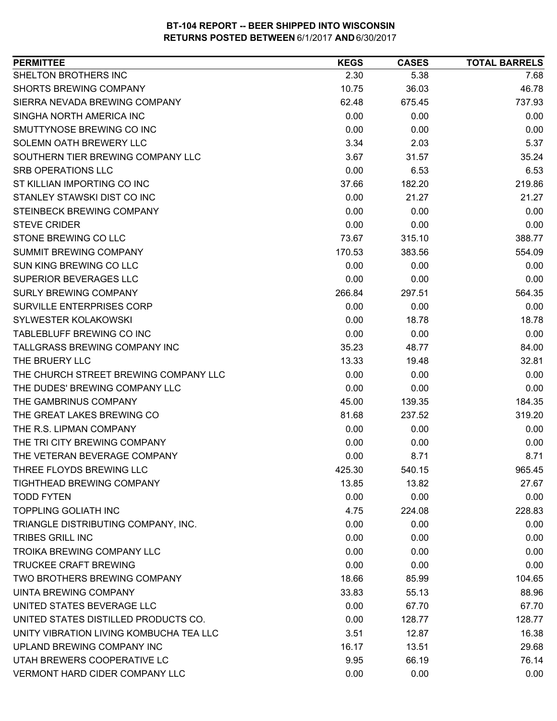| SHELTON BROTHERS INC<br>2.30<br>5.38<br>7.68<br><b>SHORTS BREWING COMPANY</b><br>10.75<br>36.03<br>46.78<br>SIERRA NEVADA BREWING COMPANY<br>62.48<br>675.45<br>737.93<br>SINGHA NORTH AMERICA INC<br>0.00<br>0.00<br>0.00<br>SMUTTYNOSE BREWING CO INC<br>0.00<br>0.00<br>0.00<br>SOLEMN OATH BREWERY LLC<br>5.37<br>3.34<br>2.03<br>SOUTHERN TIER BREWING COMPANY LLC<br>3.67<br>35.24<br>31.57<br><b>SRB OPERATIONS LLC</b><br>0.00<br>6.53<br>6.53<br>ST KILLIAN IMPORTING CO INC<br>219.86<br>37.66<br>182.20<br>STANLEY STAWSKI DIST CO INC<br>21.27<br>0.00<br>21.27<br>STEINBECK BREWING COMPANY<br>0.00<br>0.00<br>0.00<br><b>STEVE CRIDER</b><br>0.00<br>0.00<br>0.00<br>388.77<br>STONE BREWING CO LLC<br>73.67<br>315.10<br>SUMMIT BREWING COMPANY<br>554.09<br>170.53<br>383.56<br><b>SUN KING BREWING CO LLC</b><br>0.00<br>0.00<br>0.00<br>SUPERIOR BEVERAGES LLC<br>0.00<br>0.00<br>0.00<br><b>SURLY BREWING COMPANY</b><br>266.84<br>297.51<br>564.35<br>SURVILLE ENTERPRISES CORP<br>0.00<br>0.00<br>0.00<br>SYLWESTER KOLAKOWSKI<br>0.00<br>18.78<br>18.78<br>TABLEBLUFF BREWING CO INC<br>0.00<br>0.00<br>0.00<br>TALLGRASS BREWING COMPANY INC<br>35.23<br>48.77<br>84.00<br>THE BRUERY LLC<br>13.33<br>32.81<br>19.48<br>THE CHURCH STREET BREWING COMPANY LLC<br>0.00<br>0.00<br>0.00<br>THE DUDES' BREWING COMPANY LLC<br>0.00<br>0.00<br>0.00<br>THE GAMBRINUS COMPANY<br>139.35<br>184.35<br>45.00<br>THE GREAT LAKES BREWING CO<br>319.20<br>81.68<br>237.52<br>THE R.S. LIPMAN COMPANY<br>0.00<br>0.00<br>0.00<br>THE TRI CITY BREWING COMPANY<br>0.00<br>0.00<br>0.00<br>0.00<br>8.71<br>THE VETERAN BEVERAGE COMPANY<br>8.71<br>THREE FLOYDS BREWING LLC<br>425.30<br>540.15<br>965.45<br>27.67<br><b>TIGHTHEAD BREWING COMPANY</b><br>13.85<br>13.82<br><b>TODD FYTEN</b><br>0.00<br>0.00<br>0.00<br>228.83<br><b>TOPPLING GOLIATH INC</b><br>4.75<br>224.08<br>TRIANGLE DISTRIBUTING COMPANY, INC.<br>0.00<br>0.00<br>0.00<br><b>TRIBES GRILL INC</b><br>0.00<br>0.00<br>0.00<br>0.00<br><b>TROIKA BREWING COMPANY LLC</b><br>0.00<br>0.00<br><b>TRUCKEE CRAFT BREWING</b><br>0.00<br>0.00<br>0.00<br>TWO BROTHERS BREWING COMPANY<br>18.66<br>85.99<br>104.65<br><b>UINTA BREWING COMPANY</b><br>88.96<br>33.83<br>55.13<br>UNITED STATES BEVERAGE LLC<br>0.00<br>67.70<br>67.70<br>UNITED STATES DISTILLED PRODUCTS CO.<br>0.00<br>128.77<br>128.77<br>UNITY VIBRATION LIVING KOMBUCHA TEA LLC<br>3.51<br>12.87<br>16.38<br>UPLAND BREWING COMPANY INC<br>16.17<br>13.51<br>29.68<br>UTAH BREWERS COOPERATIVE LC<br>9.95<br>76.14<br>66.19 | <b>PERMITTEE</b>                      | <b>KEGS</b> | <b>CASES</b> | <b>TOTAL BARRELS</b> |
|------------------------------------------------------------------------------------------------------------------------------------------------------------------------------------------------------------------------------------------------------------------------------------------------------------------------------------------------------------------------------------------------------------------------------------------------------------------------------------------------------------------------------------------------------------------------------------------------------------------------------------------------------------------------------------------------------------------------------------------------------------------------------------------------------------------------------------------------------------------------------------------------------------------------------------------------------------------------------------------------------------------------------------------------------------------------------------------------------------------------------------------------------------------------------------------------------------------------------------------------------------------------------------------------------------------------------------------------------------------------------------------------------------------------------------------------------------------------------------------------------------------------------------------------------------------------------------------------------------------------------------------------------------------------------------------------------------------------------------------------------------------------------------------------------------------------------------------------------------------------------------------------------------------------------------------------------------------------------------------------------------------------------------------------------------------------------------------------------------------------------------------------------------------------------------------------------------------------------------------------------------------------------------------------------------------------------------------------------------------------------------------------------------------------------------------------------------------------------------------------------------------------------------------------------------------------------|---------------------------------------|-------------|--------------|----------------------|
|                                                                                                                                                                                                                                                                                                                                                                                                                                                                                                                                                                                                                                                                                                                                                                                                                                                                                                                                                                                                                                                                                                                                                                                                                                                                                                                                                                                                                                                                                                                                                                                                                                                                                                                                                                                                                                                                                                                                                                                                                                                                                                                                                                                                                                                                                                                                                                                                                                                                                                                                                                              |                                       |             |              |                      |
|                                                                                                                                                                                                                                                                                                                                                                                                                                                                                                                                                                                                                                                                                                                                                                                                                                                                                                                                                                                                                                                                                                                                                                                                                                                                                                                                                                                                                                                                                                                                                                                                                                                                                                                                                                                                                                                                                                                                                                                                                                                                                                                                                                                                                                                                                                                                                                                                                                                                                                                                                                              |                                       |             |              |                      |
|                                                                                                                                                                                                                                                                                                                                                                                                                                                                                                                                                                                                                                                                                                                                                                                                                                                                                                                                                                                                                                                                                                                                                                                                                                                                                                                                                                                                                                                                                                                                                                                                                                                                                                                                                                                                                                                                                                                                                                                                                                                                                                                                                                                                                                                                                                                                                                                                                                                                                                                                                                              |                                       |             |              |                      |
|                                                                                                                                                                                                                                                                                                                                                                                                                                                                                                                                                                                                                                                                                                                                                                                                                                                                                                                                                                                                                                                                                                                                                                                                                                                                                                                                                                                                                                                                                                                                                                                                                                                                                                                                                                                                                                                                                                                                                                                                                                                                                                                                                                                                                                                                                                                                                                                                                                                                                                                                                                              |                                       |             |              |                      |
|                                                                                                                                                                                                                                                                                                                                                                                                                                                                                                                                                                                                                                                                                                                                                                                                                                                                                                                                                                                                                                                                                                                                                                                                                                                                                                                                                                                                                                                                                                                                                                                                                                                                                                                                                                                                                                                                                                                                                                                                                                                                                                                                                                                                                                                                                                                                                                                                                                                                                                                                                                              |                                       |             |              |                      |
|                                                                                                                                                                                                                                                                                                                                                                                                                                                                                                                                                                                                                                                                                                                                                                                                                                                                                                                                                                                                                                                                                                                                                                                                                                                                                                                                                                                                                                                                                                                                                                                                                                                                                                                                                                                                                                                                                                                                                                                                                                                                                                                                                                                                                                                                                                                                                                                                                                                                                                                                                                              |                                       |             |              |                      |
|                                                                                                                                                                                                                                                                                                                                                                                                                                                                                                                                                                                                                                                                                                                                                                                                                                                                                                                                                                                                                                                                                                                                                                                                                                                                                                                                                                                                                                                                                                                                                                                                                                                                                                                                                                                                                                                                                                                                                                                                                                                                                                                                                                                                                                                                                                                                                                                                                                                                                                                                                                              |                                       |             |              |                      |
|                                                                                                                                                                                                                                                                                                                                                                                                                                                                                                                                                                                                                                                                                                                                                                                                                                                                                                                                                                                                                                                                                                                                                                                                                                                                                                                                                                                                                                                                                                                                                                                                                                                                                                                                                                                                                                                                                                                                                                                                                                                                                                                                                                                                                                                                                                                                                                                                                                                                                                                                                                              |                                       |             |              |                      |
|                                                                                                                                                                                                                                                                                                                                                                                                                                                                                                                                                                                                                                                                                                                                                                                                                                                                                                                                                                                                                                                                                                                                                                                                                                                                                                                                                                                                                                                                                                                                                                                                                                                                                                                                                                                                                                                                                                                                                                                                                                                                                                                                                                                                                                                                                                                                                                                                                                                                                                                                                                              |                                       |             |              |                      |
|                                                                                                                                                                                                                                                                                                                                                                                                                                                                                                                                                                                                                                                                                                                                                                                                                                                                                                                                                                                                                                                                                                                                                                                                                                                                                                                                                                                                                                                                                                                                                                                                                                                                                                                                                                                                                                                                                                                                                                                                                                                                                                                                                                                                                                                                                                                                                                                                                                                                                                                                                                              |                                       |             |              |                      |
|                                                                                                                                                                                                                                                                                                                                                                                                                                                                                                                                                                                                                                                                                                                                                                                                                                                                                                                                                                                                                                                                                                                                                                                                                                                                                                                                                                                                                                                                                                                                                                                                                                                                                                                                                                                                                                                                                                                                                                                                                                                                                                                                                                                                                                                                                                                                                                                                                                                                                                                                                                              |                                       |             |              |                      |
|                                                                                                                                                                                                                                                                                                                                                                                                                                                                                                                                                                                                                                                                                                                                                                                                                                                                                                                                                                                                                                                                                                                                                                                                                                                                                                                                                                                                                                                                                                                                                                                                                                                                                                                                                                                                                                                                                                                                                                                                                                                                                                                                                                                                                                                                                                                                                                                                                                                                                                                                                                              |                                       |             |              |                      |
|                                                                                                                                                                                                                                                                                                                                                                                                                                                                                                                                                                                                                                                                                                                                                                                                                                                                                                                                                                                                                                                                                                                                                                                                                                                                                                                                                                                                                                                                                                                                                                                                                                                                                                                                                                                                                                                                                                                                                                                                                                                                                                                                                                                                                                                                                                                                                                                                                                                                                                                                                                              |                                       |             |              |                      |
|                                                                                                                                                                                                                                                                                                                                                                                                                                                                                                                                                                                                                                                                                                                                                                                                                                                                                                                                                                                                                                                                                                                                                                                                                                                                                                                                                                                                                                                                                                                                                                                                                                                                                                                                                                                                                                                                                                                                                                                                                                                                                                                                                                                                                                                                                                                                                                                                                                                                                                                                                                              |                                       |             |              |                      |
|                                                                                                                                                                                                                                                                                                                                                                                                                                                                                                                                                                                                                                                                                                                                                                                                                                                                                                                                                                                                                                                                                                                                                                                                                                                                                                                                                                                                                                                                                                                                                                                                                                                                                                                                                                                                                                                                                                                                                                                                                                                                                                                                                                                                                                                                                                                                                                                                                                                                                                                                                                              |                                       |             |              |                      |
|                                                                                                                                                                                                                                                                                                                                                                                                                                                                                                                                                                                                                                                                                                                                                                                                                                                                                                                                                                                                                                                                                                                                                                                                                                                                                                                                                                                                                                                                                                                                                                                                                                                                                                                                                                                                                                                                                                                                                                                                                                                                                                                                                                                                                                                                                                                                                                                                                                                                                                                                                                              |                                       |             |              |                      |
|                                                                                                                                                                                                                                                                                                                                                                                                                                                                                                                                                                                                                                                                                                                                                                                                                                                                                                                                                                                                                                                                                                                                                                                                                                                                                                                                                                                                                                                                                                                                                                                                                                                                                                                                                                                                                                                                                                                                                                                                                                                                                                                                                                                                                                                                                                                                                                                                                                                                                                                                                                              |                                       |             |              |                      |
|                                                                                                                                                                                                                                                                                                                                                                                                                                                                                                                                                                                                                                                                                                                                                                                                                                                                                                                                                                                                                                                                                                                                                                                                                                                                                                                                                                                                                                                                                                                                                                                                                                                                                                                                                                                                                                                                                                                                                                                                                                                                                                                                                                                                                                                                                                                                                                                                                                                                                                                                                                              |                                       |             |              |                      |
|                                                                                                                                                                                                                                                                                                                                                                                                                                                                                                                                                                                                                                                                                                                                                                                                                                                                                                                                                                                                                                                                                                                                                                                                                                                                                                                                                                                                                                                                                                                                                                                                                                                                                                                                                                                                                                                                                                                                                                                                                                                                                                                                                                                                                                                                                                                                                                                                                                                                                                                                                                              |                                       |             |              |                      |
|                                                                                                                                                                                                                                                                                                                                                                                                                                                                                                                                                                                                                                                                                                                                                                                                                                                                                                                                                                                                                                                                                                                                                                                                                                                                                                                                                                                                                                                                                                                                                                                                                                                                                                                                                                                                                                                                                                                                                                                                                                                                                                                                                                                                                                                                                                                                                                                                                                                                                                                                                                              |                                       |             |              |                      |
|                                                                                                                                                                                                                                                                                                                                                                                                                                                                                                                                                                                                                                                                                                                                                                                                                                                                                                                                                                                                                                                                                                                                                                                                                                                                                                                                                                                                                                                                                                                                                                                                                                                                                                                                                                                                                                                                                                                                                                                                                                                                                                                                                                                                                                                                                                                                                                                                                                                                                                                                                                              |                                       |             |              |                      |
|                                                                                                                                                                                                                                                                                                                                                                                                                                                                                                                                                                                                                                                                                                                                                                                                                                                                                                                                                                                                                                                                                                                                                                                                                                                                                                                                                                                                                                                                                                                                                                                                                                                                                                                                                                                                                                                                                                                                                                                                                                                                                                                                                                                                                                                                                                                                                                                                                                                                                                                                                                              |                                       |             |              |                      |
|                                                                                                                                                                                                                                                                                                                                                                                                                                                                                                                                                                                                                                                                                                                                                                                                                                                                                                                                                                                                                                                                                                                                                                                                                                                                                                                                                                                                                                                                                                                                                                                                                                                                                                                                                                                                                                                                                                                                                                                                                                                                                                                                                                                                                                                                                                                                                                                                                                                                                                                                                                              |                                       |             |              |                      |
|                                                                                                                                                                                                                                                                                                                                                                                                                                                                                                                                                                                                                                                                                                                                                                                                                                                                                                                                                                                                                                                                                                                                                                                                                                                                                                                                                                                                                                                                                                                                                                                                                                                                                                                                                                                                                                                                                                                                                                                                                                                                                                                                                                                                                                                                                                                                                                                                                                                                                                                                                                              |                                       |             |              |                      |
|                                                                                                                                                                                                                                                                                                                                                                                                                                                                                                                                                                                                                                                                                                                                                                                                                                                                                                                                                                                                                                                                                                                                                                                                                                                                                                                                                                                                                                                                                                                                                                                                                                                                                                                                                                                                                                                                                                                                                                                                                                                                                                                                                                                                                                                                                                                                                                                                                                                                                                                                                                              |                                       |             |              |                      |
|                                                                                                                                                                                                                                                                                                                                                                                                                                                                                                                                                                                                                                                                                                                                                                                                                                                                                                                                                                                                                                                                                                                                                                                                                                                                                                                                                                                                                                                                                                                                                                                                                                                                                                                                                                                                                                                                                                                                                                                                                                                                                                                                                                                                                                                                                                                                                                                                                                                                                                                                                                              |                                       |             |              |                      |
|                                                                                                                                                                                                                                                                                                                                                                                                                                                                                                                                                                                                                                                                                                                                                                                                                                                                                                                                                                                                                                                                                                                                                                                                                                                                                                                                                                                                                                                                                                                                                                                                                                                                                                                                                                                                                                                                                                                                                                                                                                                                                                                                                                                                                                                                                                                                                                                                                                                                                                                                                                              |                                       |             |              |                      |
|                                                                                                                                                                                                                                                                                                                                                                                                                                                                                                                                                                                                                                                                                                                                                                                                                                                                                                                                                                                                                                                                                                                                                                                                                                                                                                                                                                                                                                                                                                                                                                                                                                                                                                                                                                                                                                                                                                                                                                                                                                                                                                                                                                                                                                                                                                                                                                                                                                                                                                                                                                              |                                       |             |              |                      |
|                                                                                                                                                                                                                                                                                                                                                                                                                                                                                                                                                                                                                                                                                                                                                                                                                                                                                                                                                                                                                                                                                                                                                                                                                                                                                                                                                                                                                                                                                                                                                                                                                                                                                                                                                                                                                                                                                                                                                                                                                                                                                                                                                                                                                                                                                                                                                                                                                                                                                                                                                                              |                                       |             |              |                      |
|                                                                                                                                                                                                                                                                                                                                                                                                                                                                                                                                                                                                                                                                                                                                                                                                                                                                                                                                                                                                                                                                                                                                                                                                                                                                                                                                                                                                                                                                                                                                                                                                                                                                                                                                                                                                                                                                                                                                                                                                                                                                                                                                                                                                                                                                                                                                                                                                                                                                                                                                                                              |                                       |             |              |                      |
|                                                                                                                                                                                                                                                                                                                                                                                                                                                                                                                                                                                                                                                                                                                                                                                                                                                                                                                                                                                                                                                                                                                                                                                                                                                                                                                                                                                                                                                                                                                                                                                                                                                                                                                                                                                                                                                                                                                                                                                                                                                                                                                                                                                                                                                                                                                                                                                                                                                                                                                                                                              |                                       |             |              |                      |
|                                                                                                                                                                                                                                                                                                                                                                                                                                                                                                                                                                                                                                                                                                                                                                                                                                                                                                                                                                                                                                                                                                                                                                                                                                                                                                                                                                                                                                                                                                                                                                                                                                                                                                                                                                                                                                                                                                                                                                                                                                                                                                                                                                                                                                                                                                                                                                                                                                                                                                                                                                              |                                       |             |              |                      |
|                                                                                                                                                                                                                                                                                                                                                                                                                                                                                                                                                                                                                                                                                                                                                                                                                                                                                                                                                                                                                                                                                                                                                                                                                                                                                                                                                                                                                                                                                                                                                                                                                                                                                                                                                                                                                                                                                                                                                                                                                                                                                                                                                                                                                                                                                                                                                                                                                                                                                                                                                                              |                                       |             |              |                      |
|                                                                                                                                                                                                                                                                                                                                                                                                                                                                                                                                                                                                                                                                                                                                                                                                                                                                                                                                                                                                                                                                                                                                                                                                                                                                                                                                                                                                                                                                                                                                                                                                                                                                                                                                                                                                                                                                                                                                                                                                                                                                                                                                                                                                                                                                                                                                                                                                                                                                                                                                                                              |                                       |             |              |                      |
|                                                                                                                                                                                                                                                                                                                                                                                                                                                                                                                                                                                                                                                                                                                                                                                                                                                                                                                                                                                                                                                                                                                                                                                                                                                                                                                                                                                                                                                                                                                                                                                                                                                                                                                                                                                                                                                                                                                                                                                                                                                                                                                                                                                                                                                                                                                                                                                                                                                                                                                                                                              |                                       |             |              |                      |
|                                                                                                                                                                                                                                                                                                                                                                                                                                                                                                                                                                                                                                                                                                                                                                                                                                                                                                                                                                                                                                                                                                                                                                                                                                                                                                                                                                                                                                                                                                                                                                                                                                                                                                                                                                                                                                                                                                                                                                                                                                                                                                                                                                                                                                                                                                                                                                                                                                                                                                                                                                              |                                       |             |              |                      |
|                                                                                                                                                                                                                                                                                                                                                                                                                                                                                                                                                                                                                                                                                                                                                                                                                                                                                                                                                                                                                                                                                                                                                                                                                                                                                                                                                                                                                                                                                                                                                                                                                                                                                                                                                                                                                                                                                                                                                                                                                                                                                                                                                                                                                                                                                                                                                                                                                                                                                                                                                                              |                                       |             |              |                      |
|                                                                                                                                                                                                                                                                                                                                                                                                                                                                                                                                                                                                                                                                                                                                                                                                                                                                                                                                                                                                                                                                                                                                                                                                                                                                                                                                                                                                                                                                                                                                                                                                                                                                                                                                                                                                                                                                                                                                                                                                                                                                                                                                                                                                                                                                                                                                                                                                                                                                                                                                                                              |                                       |             |              |                      |
|                                                                                                                                                                                                                                                                                                                                                                                                                                                                                                                                                                                                                                                                                                                                                                                                                                                                                                                                                                                                                                                                                                                                                                                                                                                                                                                                                                                                                                                                                                                                                                                                                                                                                                                                                                                                                                                                                                                                                                                                                                                                                                                                                                                                                                                                                                                                                                                                                                                                                                                                                                              |                                       |             |              |                      |
|                                                                                                                                                                                                                                                                                                                                                                                                                                                                                                                                                                                                                                                                                                                                                                                                                                                                                                                                                                                                                                                                                                                                                                                                                                                                                                                                                                                                                                                                                                                                                                                                                                                                                                                                                                                                                                                                                                                                                                                                                                                                                                                                                                                                                                                                                                                                                                                                                                                                                                                                                                              |                                       |             |              |                      |
|                                                                                                                                                                                                                                                                                                                                                                                                                                                                                                                                                                                                                                                                                                                                                                                                                                                                                                                                                                                                                                                                                                                                                                                                                                                                                                                                                                                                                                                                                                                                                                                                                                                                                                                                                                                                                                                                                                                                                                                                                                                                                                                                                                                                                                                                                                                                                                                                                                                                                                                                                                              |                                       |             |              |                      |
|                                                                                                                                                                                                                                                                                                                                                                                                                                                                                                                                                                                                                                                                                                                                                                                                                                                                                                                                                                                                                                                                                                                                                                                                                                                                                                                                                                                                                                                                                                                                                                                                                                                                                                                                                                                                                                                                                                                                                                                                                                                                                                                                                                                                                                                                                                                                                                                                                                                                                                                                                                              |                                       |             |              |                      |
|                                                                                                                                                                                                                                                                                                                                                                                                                                                                                                                                                                                                                                                                                                                                                                                                                                                                                                                                                                                                                                                                                                                                                                                                                                                                                                                                                                                                                                                                                                                                                                                                                                                                                                                                                                                                                                                                                                                                                                                                                                                                                                                                                                                                                                                                                                                                                                                                                                                                                                                                                                              |                                       |             |              |                      |
|                                                                                                                                                                                                                                                                                                                                                                                                                                                                                                                                                                                                                                                                                                                                                                                                                                                                                                                                                                                                                                                                                                                                                                                                                                                                                                                                                                                                                                                                                                                                                                                                                                                                                                                                                                                                                                                                                                                                                                                                                                                                                                                                                                                                                                                                                                                                                                                                                                                                                                                                                                              |                                       |             |              |                      |
|                                                                                                                                                                                                                                                                                                                                                                                                                                                                                                                                                                                                                                                                                                                                                                                                                                                                                                                                                                                                                                                                                                                                                                                                                                                                                                                                                                                                                                                                                                                                                                                                                                                                                                                                                                                                                                                                                                                                                                                                                                                                                                                                                                                                                                                                                                                                                                                                                                                                                                                                                                              | <b>VERMONT HARD CIDER COMPANY LLC</b> | 0.00        | 0.00         | 0.00                 |